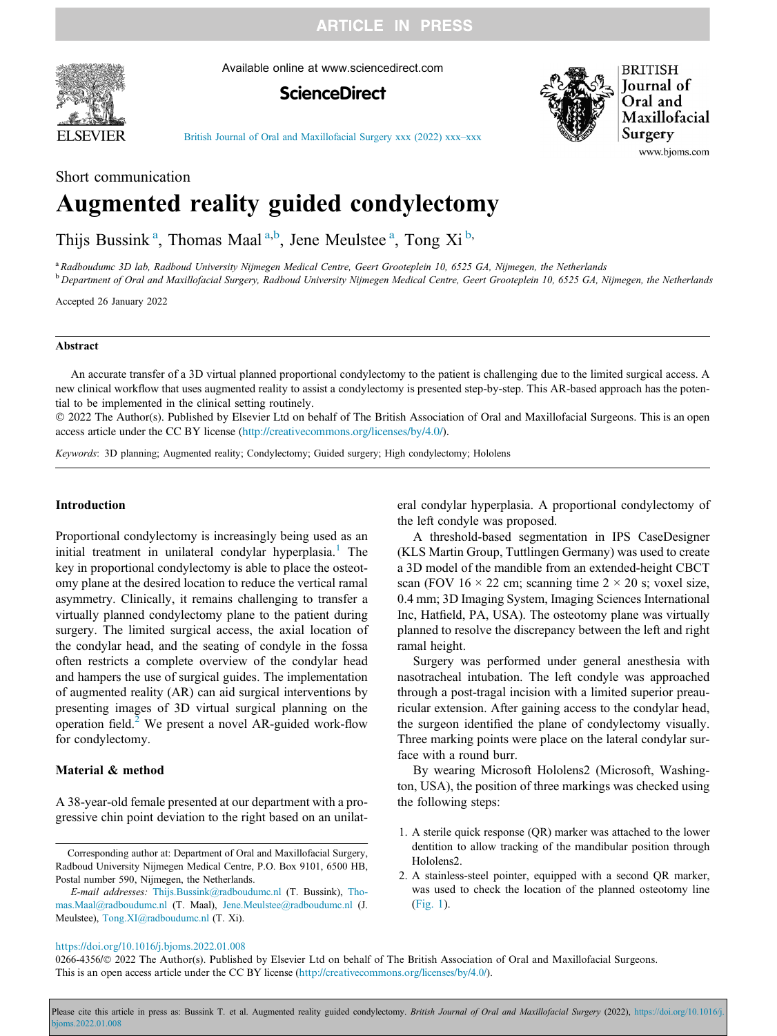**ARTICLE IN PRESS** 



Available online at www.sciencedirect.com

# **ScienceDirect**



**BRITISH Journal** of Oral and Maxillofacial Surgery www.bjoms.com

[British Journal of Oral and Maxillofacial Surgery xxx \(2022\) xxx](https://doi.org/10.1016/j.bjoms.2022.01.008)–xxx

# Short communication Augmented reality guided condylectomy

Thijs Bussink<sup>a</sup>, Thomas Maal<sup>a,b</sup>, Jene Meulstee<sup>a</sup>, Tong Xi<sup>b,</sup>

<sup>a</sup> Radboudumc 3D lab, Radboud University Nijmegen Medical Centre, Geert Grooteplein 10, 6525 GA, Nijmegen, the Netherlands

<sup>b</sup> Department of Oral and Maxillofacial Surgery, Radboud University Nijmegen Medical Centre, Geert Grooteplein 10, 6525 GA, Nijmegen, the Netherlands

Accepted 26 January 2022

#### Abstract

An accurate transfer of a 3D virtual planned proportional condylectomy to the patient is challenging due to the limited surgical access. A new clinical workflow that uses augmented reality to assist a condylectomy is presented step-by-step. This AR-based approach has the potential to be implemented in the clinical setting routinely.

 2022 The Author(s). Published by Elsevier Ltd on behalf of The British Association of Oral and Maxillofacial Surgeons. This is an open access article under the CC BY license (<http://creativecommons.org/licenses/by/4.0/>).

Keywords: 3D planning; Augmented reality; Condylectomy; Guided surgery; High condylectomy; Hololens

# Introduction

Proportional condylectomy is increasingly being used as an initial treatment in unilateral condylar hyperplasia.<sup>[1](#page-2-0)</sup> The key in proportional condylectomy is able to place the osteotomy plane at the desired location to reduce the vertical ramal asymmetry. Clinically, it remains challenging to transfer a virtually planned condylectomy plane to the patient during surgery. The limited surgical access, the axial location of the condylar head, and the seating of condyle in the fossa often restricts a complete overview of the condylar head and hampers the use of surgical guides. The implementation of augmented reality (AR) can aid surgical interventions by presenting images of 3D virtual surgical planning on the operation field.<sup>[2](#page-2-0)</sup> We present a novel AR-guided work-flow for condylectomy.

# Material & method

A 38-year-old female presented at our department with a progressive chin point deviation to the right based on an unilat-

Corresponding author at: Department of Oral and Maxillofacial Surgery, Radboud University Nijmegen Medical Centre, P.O. Box 9101, 6500 HB, Postal number 590, Nijmegen, the Netherlands.

E-mail addresses: [Thijs.Bussink@radboudumc.nl](mailto:Thijs.Bussink@radboudumc.nl) (T. Bussink), [Tho](mailto:Thomas.Maal@radboudumc.nl)[mas.Maal@radboudumc.nl](mailto:Thomas.Maal@radboudumc.nl) (T. Maal), [Jene.Meulstee@radboudumc.nl](mailto:Jene.Meulstee@radboudumc.nl) (J. Meulstee), [Tong.XI@radboudumc.nl](mailto:Tong.XI@radboudumc.nl) (T. Xi).

eral condylar hyperplasia. A proportional condylectomy of the left condyle was proposed.

A threshold-based segmentation in IPS CaseDesigner (KLS Martin Group, Tuttlingen Germany) was used to create a 3D model of the mandible from an extended-height CBCT scan (FOV  $16 \times 22$  cm; scanning time  $2 \times 20$  s; voxel size, 0.4 mm; 3D Imaging System, Imaging Sciences International Inc, Hatfield, PA, USA). The osteotomy plane was virtually planned to resolve the discrepancy between the left and right ramal height.

Surgery was performed under general anesthesia with nasotracheal intubation. The left condyle was approached through a post-tragal incision with a limited superior preauricular extension. After gaining access to the condylar head, the surgeon identified the plane of condylectomy visually. Three marking points were place on the lateral condylar surface with a round burr.

By wearing Microsoft Hololens2 (Microsoft, Washington, USA), the position of three markings was checked using the following steps:

- 1. A sterile quick response (QR) marker was attached to the lower dentition to allow tracking of the mandibular position through Hololens2.
- 2. A stainless-steel pointer, equipped with a second QR marker, was used to check the location of the planned osteotomy line ([Fig. 1](#page-1-0)).

<https://doi.org/10.1016/j.bjoms.2022.01.008>

0266-4356/© 2022 The Author(s). Published by Elsevier Ltd on behalf of The British Association of Oral and Maxillofacial Surgeons. This is an open access article under the CC BY license [\(http://creativecommons.org/licenses/by/4.0/](http://creativecommons.org/licenses/by/4.0/)).

Please cite this article in press as: Bussink T. et al. Augmented reality guided condylectomy. British Journal of Oral and Maxillofacial Surgery (2022), https://doi.org/10.1016/j [bjoms.2022.01.008](https://doi.org/10.1016/j.bjoms.2022.01.008)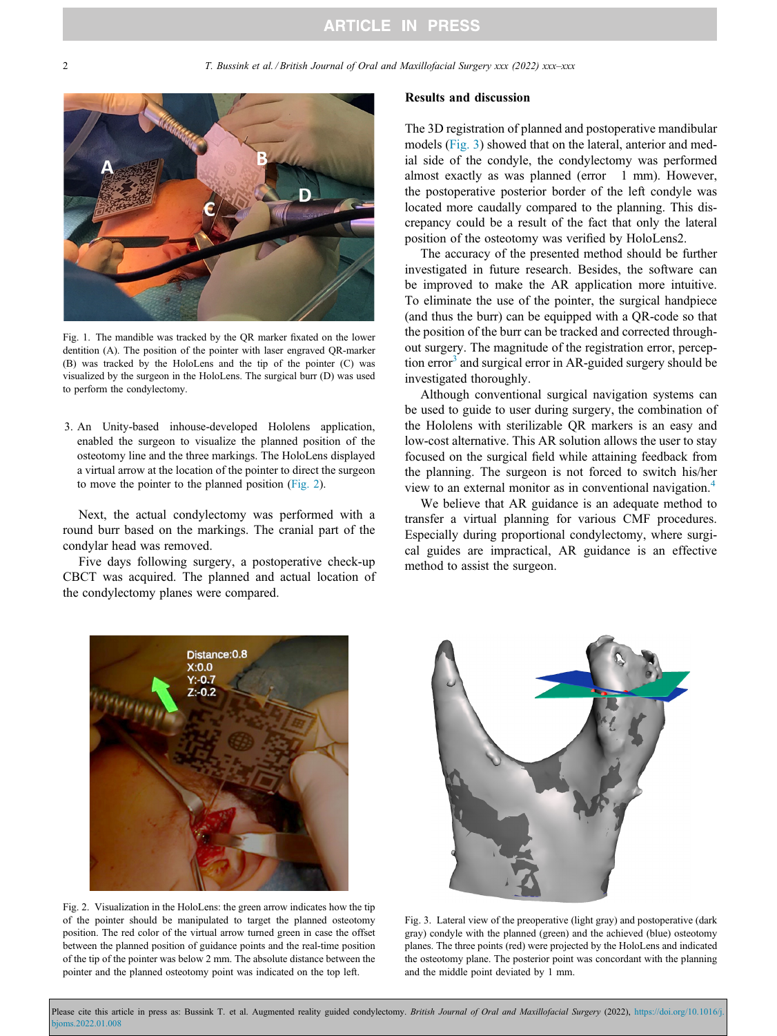<span id="page-1-0"></span>2 T. Bussink et al. / British Journal of Oral and Maxillofacial Surgery xxx (2022) xxx–xxx



Fig. 1. The mandible was tracked by the QR marker fixated on the lower dentition (A). The position of the pointer with laser engraved QR-marker (B) was tracked by the HoloLens and the tip of the pointer (C) was visualized by the surgeon in the HoloLens. The surgical burr (D) was used to perform the condylectomy.

3. An Unity-based inhouse-developed Hololens application, enabled the surgeon to visualize the planned position of the osteotomy line and the three markings. The HoloLens displayed a virtual arrow at the location of the pointer to direct the surgeon to move the pointer to the planned position (Fig. 2).

Next, the actual condylectomy was performed with a round burr based on the markings. The cranial part of the condylar head was removed.

Five days following surgery, a postoperative check-up CBCT was acquired. The planned and actual location of the condylectomy planes were compared.

#### Results and discussion

The 3D registration of planned and postoperative mandibular models (Fig. 3) showed that on the lateral, anterior and medial side of the condyle, the condylectomy was performed almost exactly as was planned (error 1 mm). However, the postoperative posterior border of the left condyle was located more caudally compared to the planning. This discrepancy could be a result of the fact that only the lateral position of the osteotomy was verified by HoloLens2.

The accuracy of the presented method should be further investigated in future research. Besides, the software can be improved to make the AR application more intuitive. To eliminate the use of the pointer, the surgical handpiece (and thus the burr) can be equipped with a QR-code so that the position of the burr can be tracked and corrected throughout surgery. The magnitude of the registration error, perception  $error<sup>3</sup>$  $error<sup>3</sup>$  $error<sup>3</sup>$  and surgical error in AR-guided surgery should be investigated thoroughly.

Although conventional surgical navigation systems can be used to guide to user during surgery, the combination of the Hololens with sterilizable QR markers is an easy and low-cost alternative. This AR solution allows the user to stay focused on the surgical field while attaining feedback from the planning. The surgeon is not forced to switch his/her view to an external monitor as in conventional navigation.[4](#page-2-0)

We believe that AR guidance is an adequate method to transfer a virtual planning for various CMF procedures. Especially during proportional condylectomy, where surgical guides are impractical, AR guidance is an effective method to assist the surgeon.



Fig. 2. Visualization in the HoloLens: the green arrow indicates how the tip of the pointer should be manipulated to target the planned osteotomy position. The red color of the virtual arrow turned green in case the offset between the planned position of guidance points and the real-time position of the tip of the pointer was below 2 mm. The absolute distance between the pointer and the planned osteotomy point was indicated on the top left.



Fig. 3. Lateral view of the preoperative (light gray) and postoperative (dark gray) condyle with the planned (green) and the achieved (blue) osteotomy planes. The three points (red) were projected by the HoloLens and indicated the osteotomy plane. The posterior point was concordant with the planning and the middle point deviated by 1 mm.